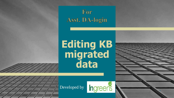

## **Editing KB migrated data**

Developed by

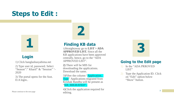### **Steps to Edit :**



#### **Login**

1) Click banglashasyabima.net

2) Type user id, password. Select "Season":" Kharif" & "Session" '- 2020

3) The portal opens for the Asst. D.A login..



#### **Finding KB data**

1)Straightaway go to **LIST > ADA APPROVED LIST.** Since all the KB applications have been approved centrally, hence, go to the "ADA APPROVED LIST".

**2)** There will be MIS for downloading the applications. Download the same.

3)Filter the column "Application\_ Type" Applications migrated from Krishak Bandhu will be present as "KB\_MIGRATED".

4)Click the application required for editing. Please continue to the next page and the continue of the continue of the next page of the continue to the next page of the continue of the next page of the continue of the next page of the continue of the continue of the n

**3**

#### **Going to the Edit page**

- In the "ADA PRROVED" LIST"
- Type the Application ID. Click on "Edit" option below "Show" button.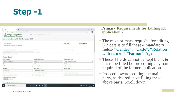

| 4.189<br>$\ddot{}$<br>×                                                       |                                                                              |                    |                                   |                | σ |
|-------------------------------------------------------------------------------|------------------------------------------------------------------------------|--------------------|-----------------------------------|----------------|---|
| banglashayabimanet/inc.apps/4794069/edit                                      |                                                                              |                    |                                   |                |   |
| Bangla Shasya Bima<br>Home<br>Department of Agriculture, Govt, of West Bengal | Insurance Application<br>Proble<br><b>U Elat</b><br>Download<br><b>CHILL</b> |                    |                                   |                |   |
| has been extended till 15th September 2020.                                   |                                                                              |                    |                                   |                |   |
| <b>WEST BENGAL</b><br>ADA DEGANGA ( ELOCK NOGAL ), DEGANGA                    |                                                                              |                    | Year: 2020                        | Season: KHARIF |   |
| Voter Card Number(Compulsory) *                                               | <b>RS Nutsber</b>                                                            |                    | KCC Number(Optional)              |                |   |
| WB1308748634D                                                                 | 426338902421                                                                 |                    |                                   |                |   |
| Voter Card number must be in capital<br><b>Farmer Details</b>                 |                                                                              |                    |                                   |                |   |
| Name as per Bank "                                                            | NACOMENTAL POUR<br>Father's/Hisband's Name                                   |                    | Relation with the Farmer."        |                |   |
| <b>IUCHOS ALI MONDAL</b>                                                      | IDRIS                                                                        |                    | Select Relation With Farmer       |                |   |
| Age *                                                                         | Gender"                                                                      | Caste <sup>2</sup> |                                   |                |   |
| 73                                                                            | Select Your Gender<br>$\sim$                                                 | $\rightarrow$      | Select Your Caste                 |                |   |
| Mabile No."                                                                   | Farmer Catagory."                                                            |                    | <b>Rominee Name</b>               |                |   |
| 7432918357                                                                    | Select Farmer Category                                                       | $\mathcal{L}$      |                                   |                |   |
| Relation with Nomineer                                                        | Identity Card Type(Not Compulsory)                                           |                    | Identity Card No (Not Compulsory) |                |   |
| Select Relationship With Nominee                                              | Select identity Card Type<br>$\sim$                                          | $\mathcal{A}$      |                                   |                |   |
| Uptuad Voter (D. Proof Document<br>Choose Ne No file chosen                   |                                                                              |                    |                                   |                |   |

#### **Primary Requirements for Editing Kb** application:-

- The most primary requisite for editing KB data is to fill these 4 mandatory fields- "Gender" ; "Caste"; "Relation with farmer"; "Farmer's Age".
- These 4 fields cannot be kept blank & has to be filled before editing any part required of the farmer application.
- **Proceed towards editing the main** parts, as desired, post filling these above parts. Scroll down.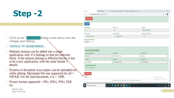## **Step - 2**

- Click on the "UPDATE" Button at the end to save the changes post editing .
- **THINGS TO REMEMBER:-**
- Multiple mouzas can be added into a single application, only if it belongs to that pre -selected block. If the mouzas belong to different blocks, it has to be a new application, with the same farmer's details.
- Pictures of document scan copies, can be uploaded too while editing. Maximum file size supported for all  $=$ 500 KB. For the land document, it is  $= 1MB$ .
- Picture format supported = JPG, JPEG, PNG, PDF, etc.

| Add ianch<br>Area (in Decimal)                                                                                      | Area(in Acre)        | Area(in Ha)              |  |
|---------------------------------------------------------------------------------------------------------------------|----------------------|--------------------------|--|
| 34.0                                                                                                                | 0.24                 | 0.09716589190283401      |  |
| Sum insured(f)                                                                                                      | Gross premium(?)     | Farmer premium amount(P) |  |
| 6982.81781376518                                                                                                    | 375207034817814      | 0.0                      |  |
| <b>Upload Land Document Proof</b><br>Choose file No file chosen<br>Crop Wise Bank Details<br>Account Holder's Name" | Account No."         | Account Type *           |  |
| BUAY PAL                                                                                                            | 2595008800013124     | Savings                  |  |
| IFS Code <sup>+</sup>                                                                                               | Bank Name"           | Branch Narte"            |  |
| PUNB0259500<br><b>Upload Bark Document Proof</b>                                                                    | Purjab National Bank | GOBARDHANPUR             |  |